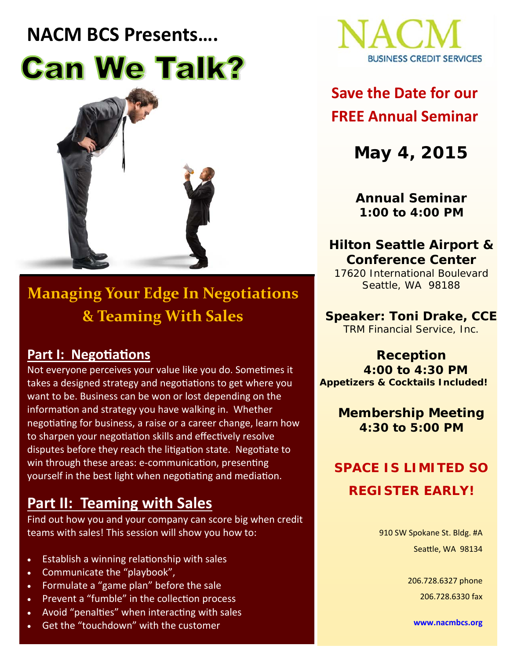# **NACM BCS Presents…. Can We Talk?**



### **Managing Your Edge In Negotiations & Teaming With Sales**

#### **Part I: Negotiations**

Not everyone perceives your value like you do. Sometimes it takes a designed strategy and negotiations to get where you want to be. Business can be won or lost depending on the information and strategy you have walking in. Whether negotiating for business, a raise or a career change, learn how to sharpen your negotiation skills and effectively resolve disputes before they reach the litigation state. Negotiate to win through these areas: e-communication, presenting yourself in the best light when negotiating and mediation.

#### **Part II: Teaming with Sales**

Find out how you and your company can score big when credit teams with sales! This session will show you how to:

- Establish a winning relationship with sales
- Communicate the "playbook",
- Formulate a "game plan" before the sale
- Prevent a "fumble" in the collection process
- Avoid "penalties" when interacting with sales
- Get the "touchdown" with the customer



### **Save the Date for our FREE Annual Seminar**

**May 4, 2015** 

**Annual Seminar 1:00 to 4:00 PM** 

**Hilton Seattle Airport & Conference Center** 

17620 International Boulevard Seattle, WA 98188

**Speaker: Toni Drake, CCE**  TRM Financial Service, Inc.

**Reception 4:00 to 4:30 PM**  *Appetizers & Cocktails Included!*

> **Membership Meeting 4:30 to 5:00 PM**

### **SPACE IS LIMITED SO REGISTER EARLY!**

910 SW Spokane St. Bldg. #A Seattle, WA 98134

> 206.728.6327 phone 206.728.6330 fax

**www.nacmbcs.org**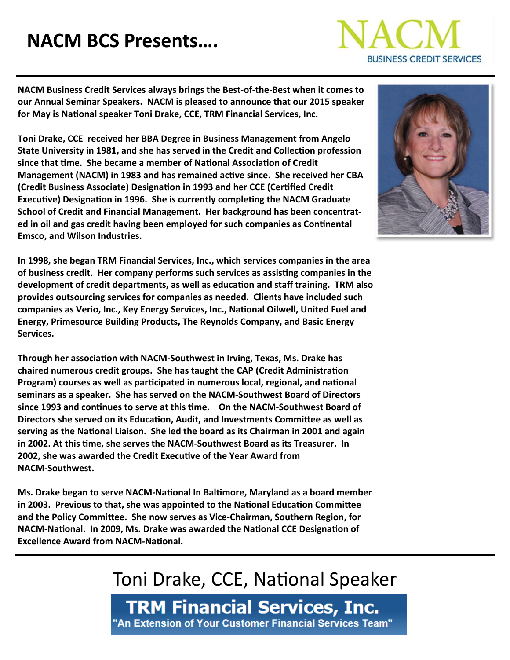# **NACM BCS Presents….**



**NACM Business Credit Services always brings the Best‐of‐the‐Best when it comes to our Annual Seminar Speakers. NACM is pleased to announce that our 2015 speaker for May is NaƟonal speaker Toni Drake, CCE, TRM Financial Services, Inc.** 

**Toni Drake, CCE received her BBA Degree in Business Management from Angelo State University in 1981, and she has served in the Credit and CollecƟon profession since that Ɵme. She became a member of NaƟonal AssociaƟon of Credit Management (NACM) in 1983 and has remained acƟve since. She received her CBA (Credit Business Associate) DesignaƟon in 1993 and her CCE (CerƟfied Credit ExecuƟve) DesignaƟon in 1996. She is currently compleƟng the NACM Graduate School of Credit and Financial Management. Her background has been concentrat‐ ed in oil and gas credit having been employed for such companies as ConƟnental Emsco, and Wilson Industries.**

**In 1998, she began TRM Financial Services, Inc., which services companies in the area of business credit. Her company performs such services as assisƟng companies in the development of credit departments, as well as educaƟon and staff training. TRM also provides outsourcing services for companies as needed. Clients have included such companies as Verio, Inc., Key Energy Services, Inc., NaƟonal Oilwell, United Fuel and Energy, Primesource Building Products, The Reynolds Company, and Basic Energy Services.**

**Through her associaƟon with NACM‐Southwest in Irving, Texas, Ms. Drake has chaired numerous credit groups. She has taught the CAP (Credit AdministraƟon Program) courses as well as parƟcipated in numerous local, regional, and naƟonal seminars as a speaker. She has served on the NACM‐Southwest Board of Directors since 1993 and conƟnues to serve at this Ɵme. On the NACM‐Southwest Board of Directors she served on its EducaƟon, Audit, and Investments CommiƩee as well as serving as the NaƟonal Liaison. She led the board as its Chairman in 2001 and again in 2002. At this Ɵme, she serves the NACM‐Southwest Board as its Treasurer. In 2002, she was awarded the Credit ExecuƟve of the Year Award from NACM‐Southwest.**

**Ms. Drake began to serve NACM‐NaƟonal In BalƟmore, Maryland as a board member in 2003. Previous to that, she was appointed to the NaƟonal EducaƟon CommiƩee and the Policy CommiƩee. She now serves as Vice‐Chairman, Southern Region, for NACM‐NaƟonal. In 2009, Ms. Drake was awarded the NaƟonal CCE DesignaƟon of** *Excellence Award from NACM-National.* 



### Toni Drake, CCE, National Speaker

**TRM Financial Services, Inc.** "An Extension of Your Customer Financial Services Team"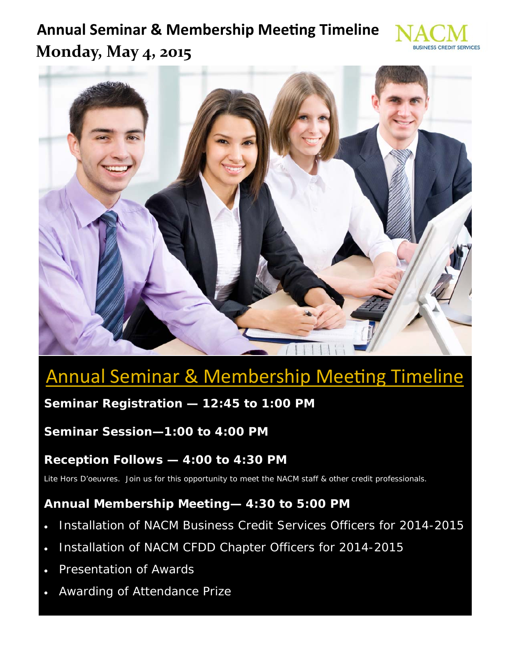### **Annual Seminar & Membership Meeting Timeline Monday, May 4, 2015**





# **Annual Seminar & Membership Meeting Timeline**

#### **Seminar Registration — 12:45 to 1:00 PM**

#### **Seminar Session—1:00 to 4:00 PM**

#### **Reception Follows — 4:00 to 4:30 PM**

Lite Hors D'oeuvres. Join us for this opportunity to meet the NACM staff & other credit professionals.

#### **Annual Membership Meeting— 4:30 to 5:00 PM**

- Installation of NACM Business Credit Services Officers for 2014-2015
- Installation of NACM CFDD Chapter Officers for 2014-2015
- Presentation of Awards
- Awarding of Attendance Prize